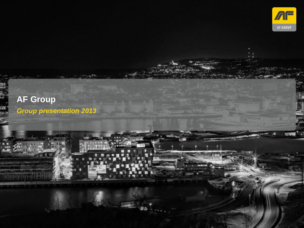

# **AF Group**

*Group presentation 2013*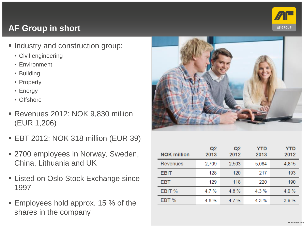

# **AF Group in short**

- **Industry and construction group:** 
	- Civil engineering
	- Environment
	- Building
	- Property
	- Energy
	- Offshore
- Revenues 2012: NOK 9,830 million (EUR 1,206)
- EBT 2012: NOK 318 million (EUR 39)
- 2700 employees in Norway, Sweden, China, Lithuania and UK
- Listed on Oslo Stock Exchange since 1997
- **Employees hold approx. 15 % of the** shares in the company



| <b>NOK million</b> | Q <sub>2</sub><br>2013 | Q <sub>2</sub><br>2012 | YTD<br>2013 | <b>YTD</b><br>2012 |
|--------------------|------------------------|------------------------|-------------|--------------------|
| <b>Revenues</b>    | 2,709                  | 2,503                  | 5,084       | 4,815              |
| <b>EBIT</b>        | 128                    | 120                    | 217         | 193                |
| <b>EBT</b>         | 129                    | 118                    | 220         | 190                |
| EBIT %             | 4.7%                   | 4.8%                   | 4.3%        | $4.0\%$            |
| EBT %              | 4.8%                   | 4.7%                   | 4.3%        | 3.9%               |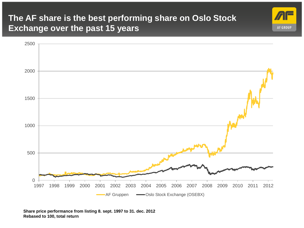### **The AF share is the best performing share on Oslo Stock Exchange over the past 15 years**



**AF GROUP** 

**Share price performance from listing 8. sept. 1997 to 31. dec. 2012 Rebased to 100, total return**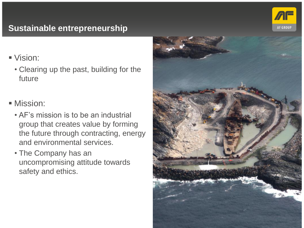

# **Sustainable entrepreneurship**

Vision:

• Clearing up the past, building for the future

**Mission:** 

- AF's mission is to be an industrial group that creates value by forming the future through contracting, energy and environmental services.
- The Company has an uncompromising attitude towards safety and ethics.

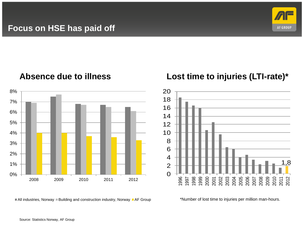**Focus on HSE has paid off**



#### **Absence due to illness**



### **Lost time to injuries (LTI-rate)\***



 $\blacksquare$  All industries, Norway  $\blacksquare$  Building and construction industry, Norway  $\blacksquare$  AF Group

\*Number of lost time to injuries per million man-hours.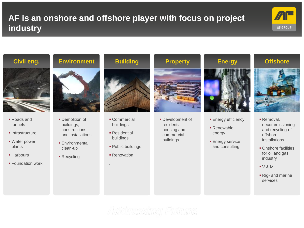## **AF is an onshore and offshore player with focus on project industry**





- Roads and tunnels
- $\blacksquare$ Infrastructure
- Water power plants
- **Harbours**
- **Foundation work**

- **Demolition of** buildings, constructions and installations
- **Environmental** clean-up
- **Recycling**



- **Commercial** buildings
- Residential buildings
- Public buildings
- **Renovation**

.



**Development of** residential housing and commercial buildings



- **Energy efficiency**
- Renewable energy
- **Energy service** and consulting



- **Removal,** decommissioning and recycling of offshore installations
- Onshore facilities for oil and gas industry
- V & M
- Rig- and marine services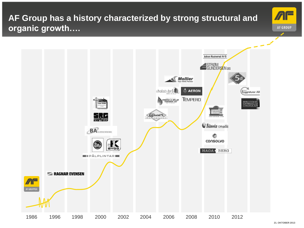# **AF Group has a history characterized by strong structural and organic growth….**



**21. OKTOBER 2013**

**AF GROUP** 

◢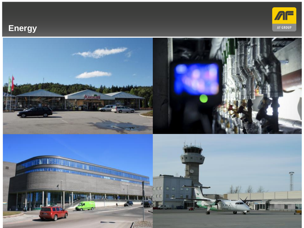# **Energy**



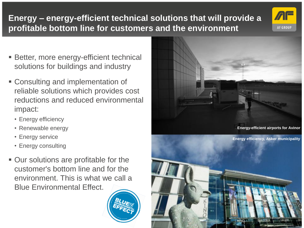# **Energy – energy-efficient technical solutions that will provide a profitable bottom line for customers and the environment**

- Better, more energy-efficient technical solutions for buildings and industry
- Consulting and implementation of reliable solutions which provides cost reductions and reduced environmental impact:
	- Energy efficiency
	- Renewable energy
	- Energy service
	- Energy consulting
- Our solutions are profitable for the customer's bottom line and for the environment. This is what we call a Blue Environmental Effect.





**AF GROUP**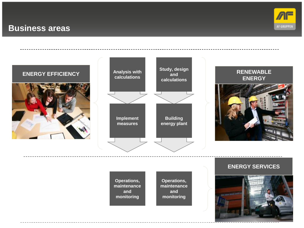#### **Business areas**



#### **Analysis with calculations Implement measures Study, design and calculations Building energy plant RENEWABLE ENERGY ENERGY EFFICIENCY**

#### **Operations, maintenance and monitoring**

**Operations, maintenance and monitoring**

#### **ENERGY SERVICES**

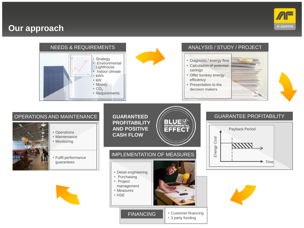#### **Our approach**



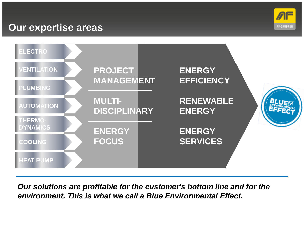# **Our expertise areas**





*Our solutions are profitable for the customer's bottom line and for the environment. This is what we call a Blue Environmental Effect.*